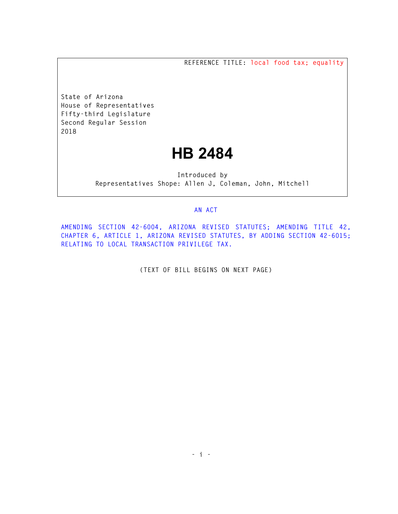**REFERENCE TITLE: local food tax; equality** 

**State of Arizona House of Representatives Fifty-third Legislature Second Regular Session 2018** 

## **HB 2484**

**Introduced by Representatives Shope: Allen J, Coleman, John, Mitchell** 

## **AN ACT**

**AMENDING SECTION 42-6004, ARIZONA REVISED STATUTES; AMENDING TITLE 42, CHAPTER 6, ARTICLE 1, ARIZONA REVISED STATUTES, BY ADDING SECTION 42-6015; RELATING TO LOCAL TRANSACTION PRIVILEGE TAX.** 

**(TEXT OF BILL BEGINS ON NEXT PAGE)**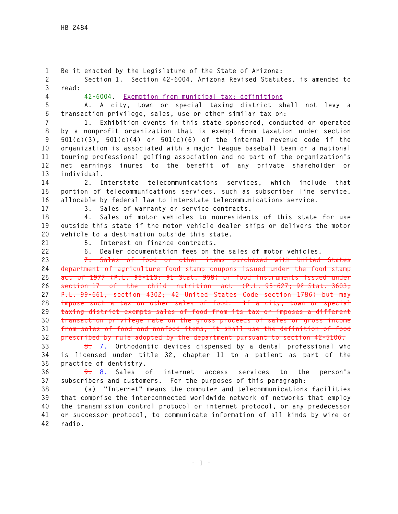**42 radio.** 

**1 Be it enacted by the Legislature of the State of Arizona: 2 Section 1. Section 42-6004, Arizona Revised Statutes, is amended to 3 read: 4 42-6004. Exemption from municipal tax; definitions 5 A. A city, town or special taxing district shall not levy a 6 transaction privilege, sales, use or other similar tax on: 7 1. Exhibition events in this state sponsored, conducted or operated 8 by a nonprofit organization that is exempt from taxation under section 9 501(c)(3), 501(c)(4) or 501(c)(6) of the internal revenue code if the 10 organization is associated with a major league baseball team or a national 11 touring professional golfing association and no part of the organization's 12 net earnings inures to the benefit of any private shareholder or 13 individual. 14 2. Interstate telecommunications services, which include that 15 portion of telecommunications services, such as subscriber line service, 16 allocable by federal law to interstate telecommunications service. 17 3. Sales of warranty or service contracts. 18 4. Sales of motor vehicles to nonresidents of this state for use 19 outside this state if the motor vehicle dealer ships or delivers the motor 20 vehicle to a destination outside this state. 21 5. Interest on finance contracts. 22 6. Dealer documentation fees on the sales of motor vehicles. 23 7. Sales of food or other items purchased with United States 24 department of agriculture food stamp coupons issued under the food stamp 25 act of 1977 (P.L. 95-113; 91 Stat. 958) or food instruments issued under 26 section 17 of the child nutrition act (P.L. 95-627; 92 Stat. 3603; 27 P.L. 99-661, section 4302; 42 United States Code section 1786) but may 28 impose such a tax on other sales of food. If a city, town or special 29 taxing district exempts sales of food from its tax or imposes a different 30 transaction privilege rate on the gross proceeds of sales or gross income 31 from sales of food and nonfood items, it shall use the definition of food 32 prescribed by rule adopted by the department pursuant to section 42-5106. 33 8. 7. Orthodontic devices dispensed by a dental professional who 34 is licensed under title 32, chapter 11 to a patient as part of the 35 practice of dentistry. 36 9. 8. Sales of internet access services to the person's 37 subscribers and customers. For the purposes of this paragraph: 38 (a) "Internet" means the computer and telecommunications facilities 39 that comprise the interconnected worldwide network of networks that employ 40 the transmission control protocol or internet protocol, or any predecessor** 

**41 or successor protocol, to communicate information of all kinds by wire or**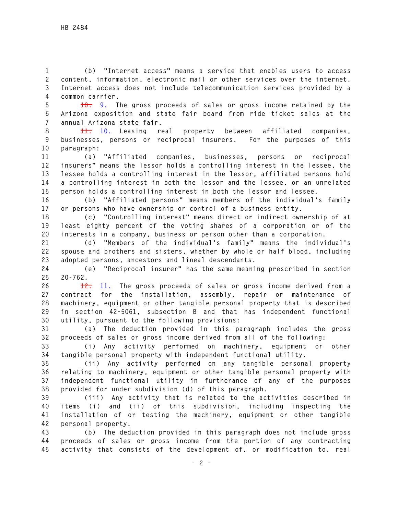**1 (b) "Internet access" means a service that enables users to access 2 content, information, electronic mail or other services over the internet. 3 Internet access does not include telecommunication services provided by a 4 common carrier.** 

**5 10. 9. The gross proceeds of sales or gross income retained by the 6 Arizona exposition and state fair board from ride ticket sales at the 7 annual Arizona state fair.** 

**8 11. 10. Leasing real property between affiliated companies, 9 businesses, persons or reciprocal insurers. For the purposes of this 10 paragraph:** 

**11 (a) "Affiliated companies, businesses, persons or reciprocal 12 insurers" means the lessor holds a controlling interest in the lessee, the 13 lessee holds a controlling interest in the lessor, affiliated persons hold 14 a controlling interest in both the lessor and the lessee, or an unrelated 15 person holds a controlling interest in both the lessor and lessee.** 

**16 (b) "Affiliated persons" means members of the individual's family 17 or persons who have ownership or control of a business entity.** 

**18 (c) "Controlling interest" means direct or indirect ownership of at 19 least eighty percent of the voting shares of a corporation or of the 20 interests in a company, business or person other than a corporation.** 

**21 (d) "Members of the individual's family" means the individual's 22 spouse and brothers and sisters, whether by whole or half blood, including 23 adopted persons, ancestors and lineal descendants.** 

**24 (e) "Reciprocal insurer" has the same meaning prescribed in section 25 20-762.** 

**26 12. 11. The gross proceeds of sales or gross income derived from a 27 contract for the installation, assembly, repair or maintenance of 28 machinery, equipment or other tangible personal property that is described 29 in section 42-5061, subsection B and that has independent functional 30 utility, pursuant to the following provisions:** 

**31 (a) The deduction provided in this paragraph includes the gross 32 proceeds of sales or gross income derived from all of the following:** 

**33 (i) Any activity performed on machinery, equipment or other 34 tangible personal property with independent functional utility.** 

**35 (ii) Any activity performed on any tangible personal property 36 relating to machinery, equipment or other tangible personal property with 37 independent functional utility in furtherance of any of the purposes 38 provided for under subdivision (d) of this paragraph.** 

**39 (iii) Any activity that is related to the activities described in 40 items (i) and (ii) of this subdivision, including inspecting the 41 installation of or testing the machinery, equipment or other tangible 42 personal property.** 

**43 (b) The deduction provided in this paragraph does not include gross 44 proceeds of sales or gross income from the portion of any contracting 45 activity that consists of the development of, or modification to, real**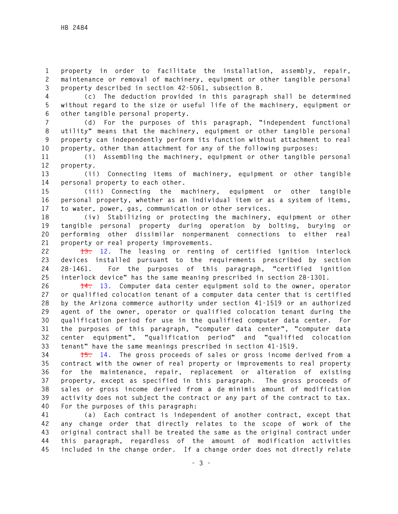**1 property in order to facilitate the installation, assembly, repair, 2 maintenance or removal of machinery, equipment or other tangible personal 3 property described in section 42-5061, subsection B.** 

**4 (c) The deduction provided in this paragraph shall be determined 5 without regard to the size or useful life of the machinery, equipment or 6 other tangible personal property.** 

**7 (d) For the purposes of this paragraph, "independent functional 8 utility" means that the machinery, equipment or other tangible personal 9 property can independently perform its function without attachment to real 10 property, other than attachment for any of the following purposes:** 

**11 (i) Assembling the machinery, equipment or other tangible personal 12 property.** 

**13 (ii) Connecting items of machinery, equipment or other tangible 14 personal property to each other.** 

**15 (iii) Connecting the machinery, equipment or other tangible 16 personal property, whether as an individual item or as a system of items, 17 to water, power, gas, communication or other services.** 

**18 (iv) Stabilizing or protecting the machinery, equipment or other 19 tangible personal property during operation by bolting, burying or 20 performing other dissimilar nonpermanent connections to either real 21 property or real property improvements.** 

**22 13. 12. The leasing or renting of certified ignition interlock 23 devices installed pursuant to the requirements prescribed by section 24 28-1461. For the purposes of this paragraph, "certified ignition 25 interlock device" has the same meaning prescribed in section 28-1301.** 

**26 14. 13. Computer data center equipment sold to the owner, operator 27 or qualified colocation tenant of a computer data center that is certified 28 by the Arizona commerce authority under section 41-1519 or an authorized 29 agent of the owner, operator or qualified colocation tenant during the 30 qualification period for use in the qualified computer data center. For 31 the purposes of this paragraph, "computer data center", "computer data 32 center equipment", "qualification period" and "qualified colocation 33 tenant" have the same meanings prescribed in section 41-1519.** 

**34 15. 14. The gross proceeds of sales or gross income derived from a 35 contract with the owner of real property or improvements to real property 36 for the maintenance, repair, replacement or alteration of existing 37 property, except as specified in this paragraph. The gross proceeds of 38 sales or gross income derived from a de minimis amount of modification 39 activity does not subject the contract or any part of the contract to tax. 40 For the purposes of this paragraph:** 

**41 (a) Each contract is independent of another contract, except that 42 any change order that directly relates to the scope of work of the 43 original contract shall be treated the same as the original contract under 44 this paragraph, regardless of the amount of modification activities 45 included in the change order. If a change order does not directly relate**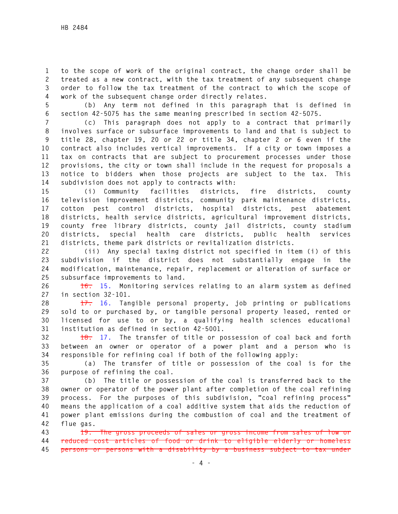**1 to the scope of work of the original contract, the change order shall be 2 treated as a new contract, with the tax treatment of any subsequent change 3 order to follow the tax treatment of the contract to which the scope of 4 work of the subsequent change order directly relates.** 

**5 (b) Any term not defined in this paragraph that is defined in 6 section 42-5075 has the same meaning prescribed in section 42-5075.** 

**7 (c) This paragraph does not apply to a contract that primarily 8 involves surface or subsurface improvements to land and that is subject to 9 title 28, chapter 19, 20 or 22 or title 34, chapter 2 or 6 even if the 10 contract also includes vertical improvements. If a city or town imposes a 11 tax on contracts that are subject to procurement processes under those 12 provisions, the city or town shall include in the request for proposals a 13 notice to bidders when those projects are subject to the tax. This 14 subdivision does not apply to contracts with:** 

**15 (i) Community facilities districts, fire districts, county 16 television improvement districts, community park maintenance districts, 17 cotton pest control districts, hospital districts, pest abatement 18 districts, health service districts, agricultural improvement districts, 19 county free library districts, county jail districts, county stadium 20 districts, special health care districts, public health services 21 districts, theme park districts or revitalization districts.** 

**22 (ii) Any special taxing district not specified in item (i) of this 23 subdivision if the district does not substantially engage in the 24 modification, maintenance, repair, replacement or alteration of surface or 25 subsurface improvements to land.** 

**26 16. 15. Monitoring services relating to an alarm system as defined 27 in section 32-101.** 

**28 17. 16. Tangible personal property, job printing or publications 29 sold to or purchased by, or tangible personal property leased, rented or 30 licensed for use to or by, a qualifying health sciences educational 31 institution as defined in section 42-5001.** 

**32 18. 17. The transfer of title or possession of coal back and forth 33 between an owner or operator of a power plant and a person who is 34 responsible for refining coal if both of the following apply:** 

**35 (a) The transfer of title or possession of the coal is for the 36 purpose of refining the coal.** 

**37 (b) The title or possession of the coal is transferred back to the 38 owner or operator of the power plant after completion of the coal refining 39 process. For the purposes of this subdivision, "coal refining process" 40 means the application of a coal additive system that aids the reduction of 41 power plant emissions during the combustion of coal and the treatment of 42 flue gas.** 

**43 19. The gross proceeds of sales or gross income from sales of low or 44 reduced cost articles of food or drink to eligible elderly or homeless 45 persons or persons with a disability by a business subject to tax under**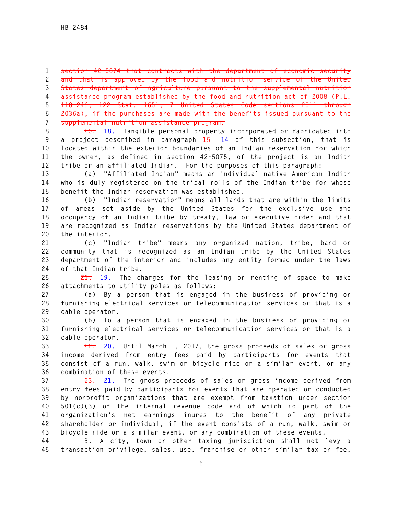**1 section 42-5074 that contracts with the department of economic security 2 and that is approved by the food and nutrition service of the United 3 States department of agriculture pursuant to the supplemental nutrition 4 assistance program established by the food and nutrition act of 2008 (P.L. 5 110-246; 122 Stat. 1651; 7 United States Code sections 2011 through 6 2036a), if the purchases are made with the benefits issued pursuant to the 7 supplemental nutrition assistance program.** 

**8 20. 18. Tangible personal property incorporated or fabricated into 9 a project described in paragraph 15 14 of this subsection, that is 10 located within the exterior boundaries of an Indian reservation for which 11 the owner, as defined in section 42-5075, of the project is an Indian 12 tribe or an affiliated Indian. For the purposes of this paragraph:** 

**13 (a) "Affiliated Indian" means an individual native American Indian 14 who is duly registered on the tribal rolls of the Indian tribe for whose 15 benefit the Indian reservation was established.** 

**16 (b) "Indian reservation" means all lands that are within the limits 17 of areas set aside by the United States for the exclusive use and 18 occupancy of an Indian tribe by treaty, law or executive order and that 19 are recognized as Indian reservations by the United States department of 20 the interior.** 

**21 (c) "Indian tribe" means any organized nation, tribe, band or 22 community that is recognized as an Indian tribe by the United States 23 department of the interior and includes any entity formed under the laws 24 of that Indian tribe.** 

**25 21. 19. The charges for the leasing or renting of space to make 26 attachments to utility poles as follows:** 

**27 (a) By a person that is engaged in the business of providing or 28 furnishing electrical services or telecommunication services or that is a 29 cable operator.** 

**30 (b) To a person that is engaged in the business of providing or 31 furnishing electrical services or telecommunication services or that is a 32 cable operator.** 

**33 22. 20. Until March 1, 2017, the gross proceeds of sales or gross 34 income derived from entry fees paid by participants for events that 35 consist of a run, walk, swim or bicycle ride or a similar event, or any 36 combination of these events.** 

**37 23. 21. The gross proceeds of sales or gross income derived from 38 entry fees paid by participants for events that are operated or conducted 39 by nonprofit organizations that are exempt from taxation under section 40 501(c)(3) of the internal revenue code and of which no part of the 41 organization's net earnings inures to the benefit of any private 42 shareholder or individual, if the event consists of a run, walk, swim or 43 bicycle ride or a similar event, or any combination of these events.** 

**44 B. A city, town or other taxing jurisdiction shall not levy a 45 transaction privilege, sales, use, franchise or other similar tax or fee,**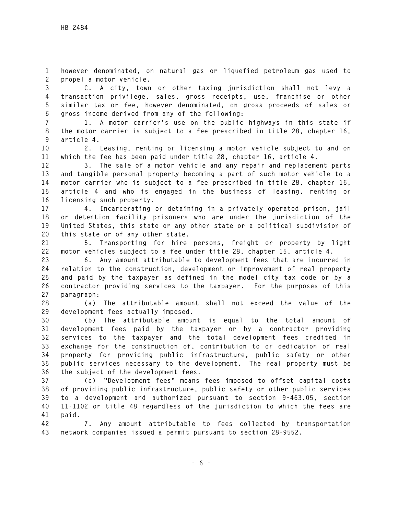**1 however denominated, on natural gas or liquefied petroleum gas used to 2 propel a motor vehicle.** 

**3 C. A city, town or other taxing jurisdiction shall not levy a 4 transaction privilege, sales, gross receipts, use, franchise or other 5 similar tax or fee, however denominated, on gross proceeds of sales or 6 gross income derived from any of the following:** 

**7 1. A motor carrier's use on the public highways in this state if 8 the motor carrier is subject to a fee prescribed in title 28, chapter 16, 9 article 4.** 

**10 2. Leasing, renting or licensing a motor vehicle subject to and on 11 which the fee has been paid under title 28, chapter 16, article 4.** 

**12 3. The sale of a motor vehicle and any repair and replacement parts 13 and tangible personal property becoming a part of such motor vehicle to a 14 motor carrier who is subject to a fee prescribed in title 28, chapter 16, 15 article 4 and who is engaged in the business of leasing, renting or 16 licensing such property.** 

**17 4. Incarcerating or detaining in a privately operated prison, jail 18 or detention facility prisoners who are under the jurisdiction of the 19 United States, this state or any other state or a political subdivision of 20 this state or of any other state.** 

**21 5. Transporting for hire persons, freight or property by light 22 motor vehicles subject to a fee under title 28, chapter 15, article 4.** 

**23 6. Any amount attributable to development fees that are incurred in 24 relation to the construction, development or improvement of real property 25 and paid by the taxpayer as defined in the model city tax code or by a 26 contractor providing services to the taxpayer. For the purposes of this 27 paragraph:** 

**28 (a) The attributable amount shall not exceed the value of the 29 development fees actually imposed.** 

**30 (b) The attributable amount is equal to the total amount of 31 development fees paid by the taxpayer or by a contractor providing 32 services to the taxpayer and the total development fees credited in 33 exchange for the construction of, contribution to or dedication of real 34 property for providing public infrastructure, public safety or other 35 public services necessary to the development. The real property must be 36 the subject of the development fees.** 

**37 (c) "Development fees" means fees imposed to offset capital costs 38 of providing public infrastructure, public safety or other public services 39 to a development and authorized pursuant to section 9-463.05, section 40 11-1102 or title 48 regardless of the jurisdiction to which the fees are 41 paid.** 

**42 7. Any amount attributable to fees collected by transportation 43 network companies issued a permit pursuant to section 28-9552.**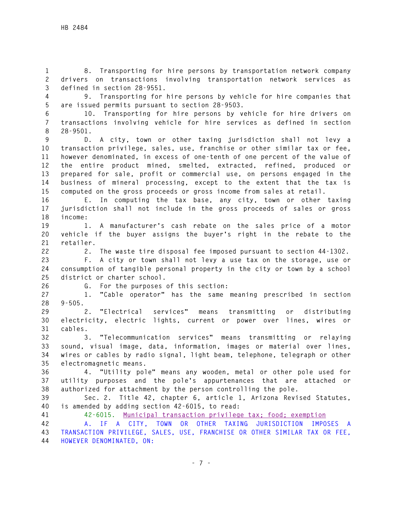**1 8. Transporting for hire persons by transportation network company 2 drivers on transactions involving transportation network services as 3 defined in section 28-9551.** 

**4 9. Transporting for hire persons by vehicle for hire companies that 5 are issued permits pursuant to section 28-9503.** 

**6 10. Transporting for hire persons by vehicle for hire drivers on 7 transactions involving vehicle for hire services as defined in section 8 28-9501.** 

**9 D. A city, town or other taxing jurisdiction shall not levy a 10 transaction privilege, sales, use, franchise or other similar tax or fee, 11 however denominated, in excess of one-tenth of one percent of the value of 12 the entire product mined, smelted, extracted, refined, produced or 13 prepared for sale, profit or commercial use, on persons engaged in the 14 business of mineral processing, except to the extent that the tax is 15 computed on the gross proceeds or gross income from sales at retail.** 

**16 E. In computing the tax base, any city, town or other taxing 17 jurisdiction shall not include in the gross proceeds of sales or gross 18 income:** 

**19 1. A manufacturer's cash rebate on the sales price of a motor 20 vehicle if the buyer assigns the buyer's right in the rebate to the 21 retailer.** 

**22 2. The waste tire disposal fee imposed pursuant to section 44-1302.** 

**23 F. A city or town shall not levy a use tax on the storage, use or 24 consumption of tangible personal property in the city or town by a school 25 district or charter school.** 

**26 G. For the purposes of this section:** 

**27 1. "Cable operator" has the same meaning prescribed in section 28 9-505.** 

**29 2. "Electrical services" means transmitting or distributing 30 electricity, electric lights, current or power over lines, wires or 31 cables.** 

**32 3. "Telecommunication services" means transmitting or relaying 33 sound, visual image, data, information, images or material over lines, 34 wires or cables by radio signal, light beam, telephone, telegraph or other 35 electromagnetic means.** 

**36 4. "Utility pole" means any wooden, metal or other pole used for 37 utility purposes and the pole's appurtenances that are attached or 38 authorized for attachment by the person controlling the pole.** 

**39 Sec. 2. Title 42, chapter 6, article 1, Arizona Revised Statutes, 40 is amended by adding section 42-6015, to read:** 

**41 42-6015. Municipal transaction privilege tax; food; exemption**

**42 A. IF A CITY, TOWN OR OTHER TAXING JURISDICTION IMPOSES A 43 TRANSACTION PRIVILEGE, SALES, USE, FRANCHISE OR OTHER SIMILAR TAX OR FEE, 44 HOWEVER DENOMINATED, ON:**